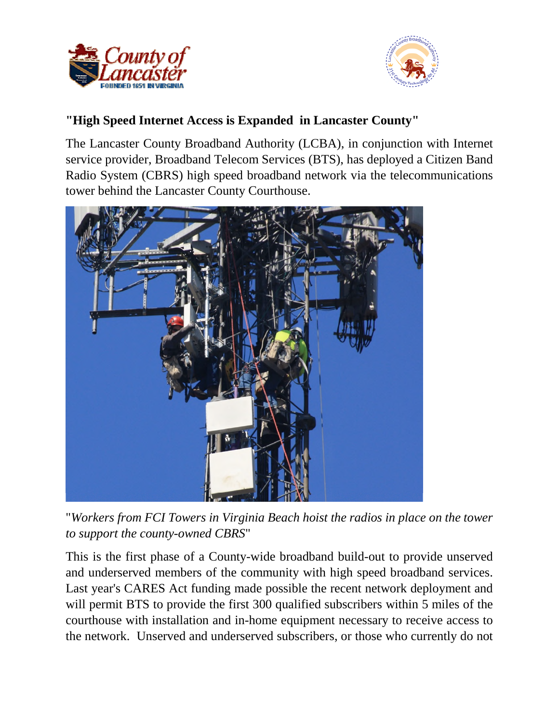



## **"High Speed Internet Access is Expanded in Lancaster County"**

The Lancaster County Broadband Authority (LCBA), in conjunction with Internet service provider, Broadband Telecom Services (BTS), has deployed a Citizen Band Radio System (CBRS) high speed broadband network via the telecommunications tower behind the Lancaster County Courthouse.



"*Workers from FCI Towers in Virginia Beach hoist the radios in place on the tower to support the county-owned CBRS*"

This is the first phase of a County-wide broadband build-out to provide unserved and underserved members of the community with high speed broadband services. Last year's CARES Act funding made possible the recent network deployment and will permit BTS to provide the first 300 qualified subscribers within 5 miles of the courthouse with installation and in-home equipment necessary to receive access to the network. Unserved and underserved subscribers, or those who currently do not